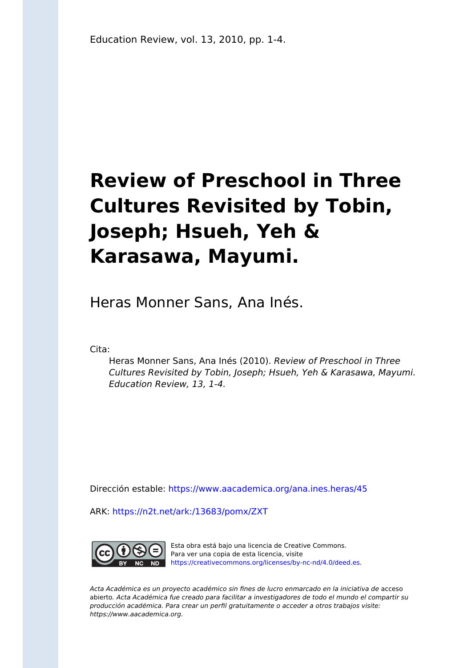# **Review of Preschool in Three Cultures Revisited by Tobin, Joseph; Hsueh, Yeh & Karasawa, Mayumi.**

Heras Monner Sans, Ana Inés.

Cita:

Heras Monner Sans, Ana Inés (2010). Review of Preschool in Three Cultures Revisited by Tobin, Joseph; Hsueh, Yeh & Karasawa, Mayumi. Education Review, 13, 1-4.

Dirección estable:<https://www.aacademica.org/ana.ines.heras/45>

ARK: <https://n2t.net/ark:/13683/pomx/ZXT>



Esta obra está bajo una licencia de Creative Commons. Para ver una copia de esta licencia, visite [https://creativecommons.org/licenses/by-nc-nd/4.0/deed.es.](https://creativecommons.org/licenses/by-nc-nd/4.0/deed.es)

Acta Académica es un proyecto académico sin fines de lucro enmarcado en la iniciativa de acceso abierto. Acta Académica fue creado para facilitar a investigadores de todo el mundo el compartir su producción académica. Para crear un perfil gratuitamente o acceder a otros trabajos visite: https://www.aacademica.org.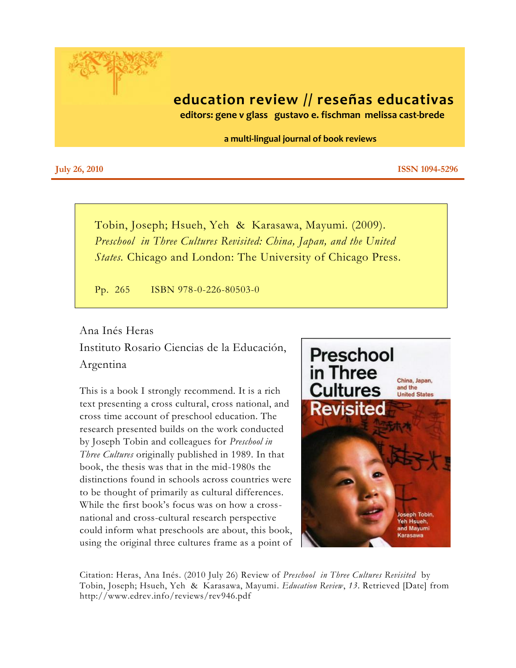

## **education review // reseñas educativas**

 **editors: gene v glass gustavo e. fischman melissa cast-brede**

 **a multi-lingual journal of book reviews**

**July** 26, 2010 **ISSN 1094-5296** 

Tobin, Joseph; Hsueh, Yeh & Karasawa, Mayumi. (2009). *Preschool in Three Cultures Revisited: China, Japan, and the United States.* Chicago and London: The University of Chicago Press.

Pp. 265 ISBN 978-0-226-80503-0

#### Ana Inés Heras

Instituto Rosario Ciencias de la Educación, Argentina

This is a book I strongly recommend. It is a rich text presenting a cross cultural, cross national, and cross time account of preschool education. The research presented builds on the work conducted by Joseph Tobin and colleagues for *Preschool in Three Cultures* originally published in 1989. In that book, the thesis was that in the mid-1980s the distinctions found in schools across countries were to be thought of primarily as cultural differences. While the first book's focus was on how a crossnational and cross-cultural research perspective could inform what preschools are about, this book, using the original three cultures frame as a point of



Citation: Heras, Ana Inés. (2010 July 26) Review of *Preschool in Three Cultures Revisited* by Tobin, Joseph; Hsueh, Yeh & Karasawa, Mayumi. *Education Review*, *13*. Retrieved [Date] from http://www.edrev.info/reviews/rev946.pdf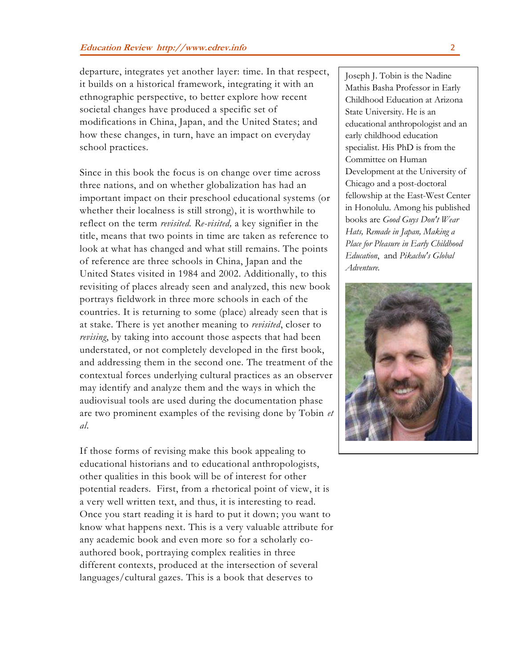departure, integrates yet another layer: time. In that respect, it builds on a historical framework, integrating it with an ethnographic perspective, to better explore how recent societal changes have produced a specific set of modifications in China, Japan, and the United States; and how these changes, in turn, have an impact on everyday school practices.

Since in this book the focus is on change over time across three nations, and on whether globalization has had an important impact on their preschool educational systems (or whether their localness is still strong), it is worthwhile to reflect on the term *revisited. Re-visited,* a key signifier in the title, means that two points in time are taken as reference to look at what has changed and what still remains. The points of reference are three schools in China, Japan and the United States visited in 1984 and 2002. Additionally, to this revisiting of places already seen and analyzed, this new book portrays fieldwork in three more schools in each of the countries. It is returning to some (place) already seen that is at stake. There is yet another meaning to *revisited*, closer to *revising*, by taking into account those aspects that had been understated, or not completely developed in the first book, and addressing them in the second one. The treatment of the contextual forces underlying cultural practices as an observer may identify and analyze them and the ways in which the audiovisual tools are used during the documentation phase are two prominent examples of the revising done by Tobin *et al*.

If those forms of revising make this book appealing to educational historians and to educational anthropologists, other qualities in this book will be of interest for other potential readers. First, from a rhetorical point of view, it is a very well written text, and thus, it is interesting to read. Once you start reading it is hard to put it down; you want to know what happens next. This is a very valuable attribute for any academic book and even more so for a scholarly coauthored book, portraying complex realities in three different contexts, produced at the intersection of several languages/cultural gazes. This is a book that deserves to

Joseph J. Tobin is the Nadine Mathis Basha Professor in Early Childhood Education at Arizona State University. He is an educational anthropologist and an early childhood education specialist. His PhD is from the Committee on Human Development at the University of Chicago and a post-doctoral fellowship at the East-West Center in Honolulu. Among his published books are *Good Guys Don't Wear Hats, Remade in Japan, Making a Place for Pleasure in Early Childhood Education*, and *Pikachu's Global Adventure.*

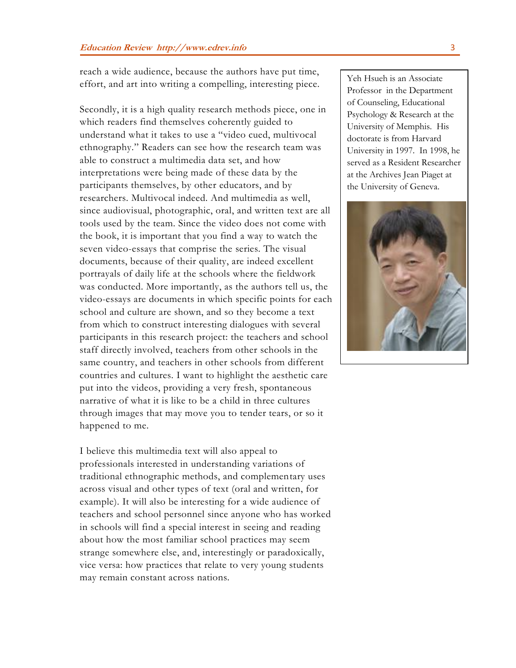reach a wide audience, because the authors have put time, effort, and art into writing a compelling, interesting piece.

Secondly, it is a high quality research methods piece, one in which readers find themselves coherently guided to understand what it takes to use a "video cued, multivocal ethnography." Readers can see how the research team was able to construct a multimedia data set, and how interpretations were being made of these data by the participants themselves, by other educators, and by researchers. Multivocal indeed. And multimedia as well, since audiovisual, photographic, oral, and written text are all tools used by the team. Since the video does not come with the book, it is important that you find a way to watch the seven video-essays that comprise the series. The visual documents, because of their quality, are indeed excellent portrayals of daily life at the schools where the fieldwork was conducted. More importantly, as the authors tell us, the video-essays are documents in which specific points for each school and culture are shown, and so they become a text from which to construct interesting dialogues with several participants in this research project: the teachers and school staff directly involved, teachers from other schools in the same country, and teachers in other schools from different countries and cultures. I want to highlight the aesthetic care put into the videos, providing a very fresh, spontaneous narrative of what it is like to be a child in three cultures through images that may move you to tender tears, or so it happened to me.

I believe this multimedia text will also appeal to professionals interested in understanding variations of traditional ethnographic methods, and complementary uses across visual and other types of text (oral and written, for example). It will also be interesting for a wide audience of teachers and school personnel since anyone who has worked in schools will find a special interest in seeing and reading about how the most familiar school practices may seem strange somewhere else, and, interestingly or paradoxically, vice versa: how practices that relate to very young students may remain constant across nations.

Yeh Hsueh is an Associate Professor in the Department of Counseling, Educational Psychology & Research at the University of Memphis. His doctorate is from Harvard University in 1997. In 1998, he served as a Resident Researcher at the Archives Jean Piaget at the University of Geneva.

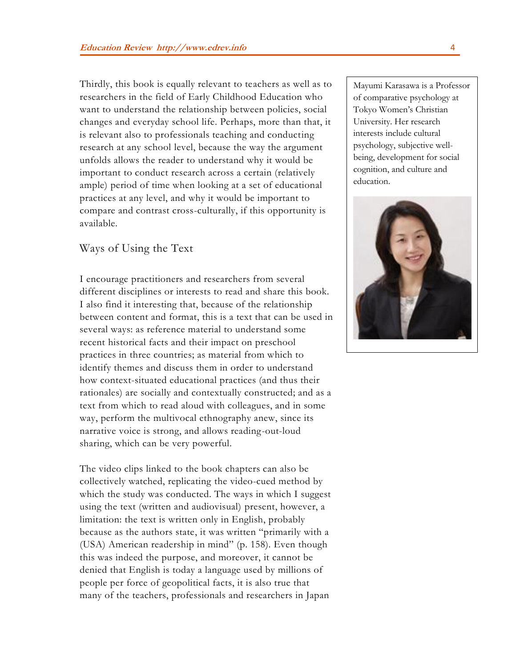Thirdly, this book is equally relevant to teachers as well as to researchers in the field of Early Childhood Education who want to understand the relationship between policies, social changes and everyday school life. Perhaps, more than that, it is relevant also to professionals teaching and conducting research at any school level, because the way the argument unfolds allows the reader to understand why it would be important to conduct research across a certain (relatively ample) period of time when looking at a set of educational practices at any level, and why it would be important to compare and contrast cross-culturally, if this opportunity is available.

### Ways of Using the Text

I encourage practitioners and researchers from several different disciplines or interests to read and share this book. I also find it interesting that, because of the relationship between content and format, this is a text that can be used in several ways: as reference material to understand some recent historical facts and their impact on preschool practices in three countries; as material from which to identify themes and discuss them in order to understand how context-situated educational practices (and thus their rationales) are socially and contextually constructed; and as a text from which to read aloud with colleagues, and in some way, perform the multivocal ethnography anew, since its narrative voice is strong, and allows reading-out-loud sharing, which can be very powerful.

The video clips linked to the book chapters can also be collectively watched, replicating the video-cued method by which the study was conducted. The ways in which I suggest using the text (written and audiovisual) present, however, a limitation: the text is written only in English, probably because as the authors state, it was written "primarily with a (USA) American readership in mind" (p. 158). Even though this was indeed the purpose, and moreover, it cannot be denied that English is today a language used by millions of people per force of geopolitical facts, it is also true that many of the teachers, professionals and researchers in Japan

Mayumi Karasawa is a Professor of comparative psychology at Tokyo Women's Christian University. Her research interests include cultural psychology, subjective wellbeing, development for social cognition, and culture and education.

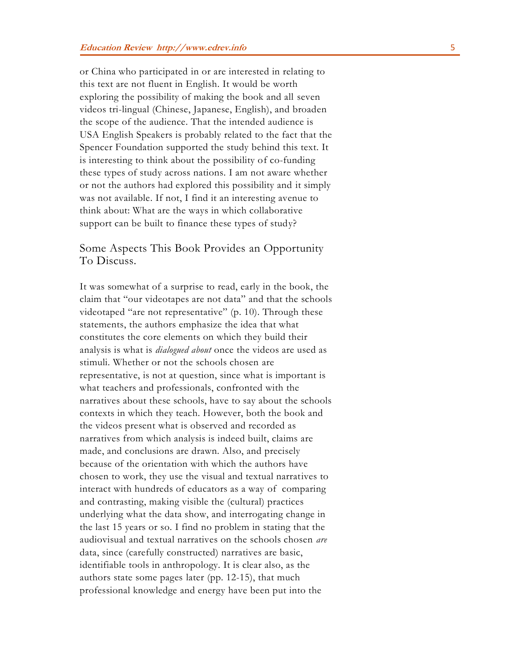or China who participated in or are interested in relating to this text are not fluent in English. It would be worth exploring the possibility of making the book and all seven videos tri-lingual (Chinese, Japanese, English), and broaden the scope of the audience. That the intended audience is USA English Speakers is probably related to the fact that the Spencer Foundation supported the study behind this text. It is interesting to think about the possibility of co-funding these types of study across nations. I am not aware whether or not the authors had explored this possibility and it simply was not available. If not, I find it an interesting avenue to think about: What are the ways in which collaborative support can be built to finance these types of study?

#### Some Aspects This Book Provides an Opportunity To Discuss.

It was somewhat of a surprise to read, early in the book, the claim that "our videotapes are not data" and that the schools videotaped "are not representative" (p. 10). Through these statements, the authors emphasize the idea that what constitutes the core elements on which they build their analysis is what is *dialogued about* once the videos are used as stimuli. Whether or not the schools chosen are representative, is not at question, since what is important is what teachers and professionals, confronted with the narratives about these schools, have to say about the schools contexts in which they teach. However, both the book and the videos present what is observed and recorded as narratives from which analysis is indeed built, claims are made, and conclusions are drawn. Also, and precisely because of the orientation with which the authors have chosen to work, they use the visual and textual narratives to interact with hundreds of educators as a way of comparing and contrasting, making visible the (cultural) practices underlying what the data show, and interrogating change in the last 15 years or so. I find no problem in stating that the audiovisual and textual narratives on the schools chosen *are* data, since (carefully constructed) narratives are basic, identifiable tools in anthropology. It is clear also, as the authors state some pages later (pp. 12-15), that much professional knowledge and energy have been put into the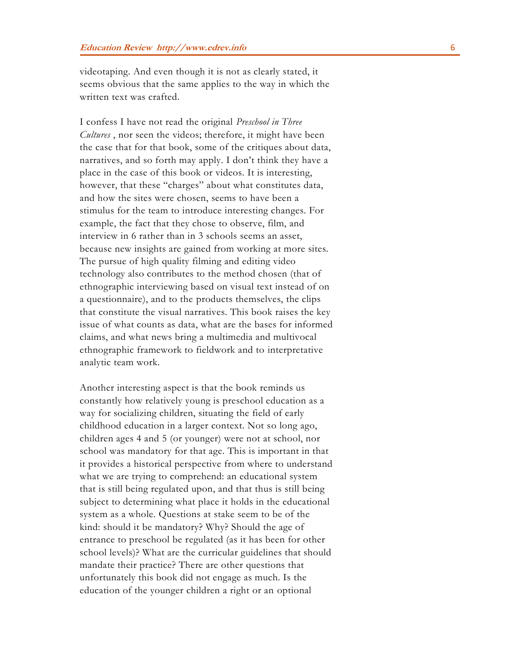videotaping. And even though it is not as clearly stated, it seems obvious that the same applies to the way in which the written text was crafted.

I confess I have not read the original *Preschool in Three Cultures* , nor seen the videos; therefore, it might have been the case that for that book, some of the critiques about data, narratives, and so forth may apply. I don't think they have a place in the case of this book or videos. It is interesting, however, that these "charges" about what constitutes data, and how the sites were chosen, seems to have been a stimulus for the team to introduce interesting changes. For example, the fact that they chose to observe, film, and interview in 6 rather than in 3 schools seems an asset, because new insights are gained from working at more sites. The pursue of high quality filming and editing video technology also contributes to the method chosen (that of ethnographic interviewing based on visual text instead of on a questionnaire), and to the products themselves, the clips that constitute the visual narratives. This book raises the key issue of what counts as data, what are the bases for informed claims, and what news bring a multimedia and multivocal ethnographic framework to fieldwork and to interpretative analytic team work.

Another interesting aspect is that the book reminds us constantly how relatively young is preschool education as a way for socializing children, situating the field of early childhood education in a larger context. Not so long ago, children ages 4 and 5 (or younger) were not at school, nor school was mandatory for that age. This is important in that it provides a historical perspective from where to understand what we are trying to comprehend: an educational system that is still being regulated upon, and that thus is still being subject to determining what place it holds in the educational system as a whole. Questions at stake seem to be of the kind: should it be mandatory? Why? Should the age of entrance to preschool be regulated (as it has been for other school levels)? What are the curricular guidelines that should mandate their practice? There are other questions that unfortunately this book did not engage as much. Is the education of the younger children a right or an optional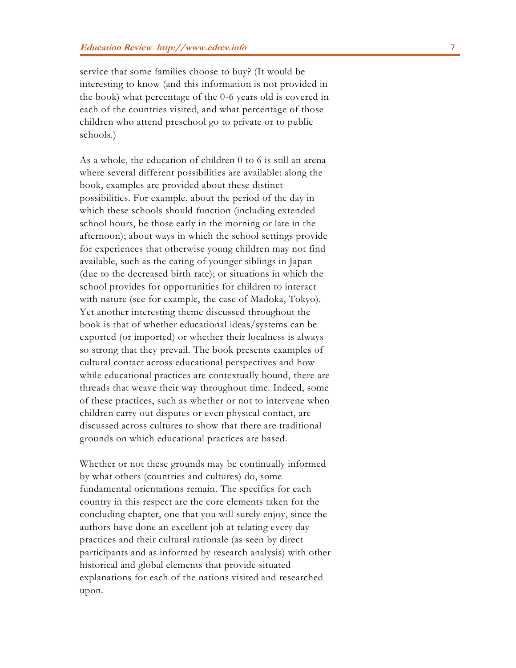service that some families choose to buy? (It would be interesting to know (and this information is not provided in the book) what percentage of the 0-6 years old is covered in each of the countries visited, and what percentage of those children who attend preschool go to private or to public schools.)

As a whole, the education of children 0 to 6 is still an arena where several different possibilities are available: along the book, examples are provided about these distinct possibilities. For example, about the period of the day in which these schools should function (including extended school hours, be those early in the morning or late in the afternoon); about ways in which the school settings provide for experiences that otherwise young children may not find available, such as the caring of younger siblings in Japan (due to the decreased birth rate); or situations in which the school provides for opportunities for children to interact with nature (see for example, the case of Madoka, Tokyo). Yet another interesting theme discussed throughout the book is that of whether educational ideas/systems can be exported (or imported) or whether their localness is always so strong that they prevail. The book presents examples of cultural contact across educational perspectives and how while educational practices are contextually bound, there are threads that weave their way throughout time. Indeed, some of these practices, such as whether or not to intervene when children carry out disputes or even physical contact, are discussed across cultures to show that there are traditional grounds on which educational practices are based.

Whether or not these grounds may be continually informed by what others (countries and cultures) do, some fundamental orientations remain. The specifics for each country in this respect are the core elements taken for the concluding chapter, one that you will surely enjoy, since the authors have done an excellent job at relating every day practices and their cultural rationale (as seen by direct participants and as informed by research analysis) with other historical and global elements that provide situated explanations for each of the nations visited and researched upon.